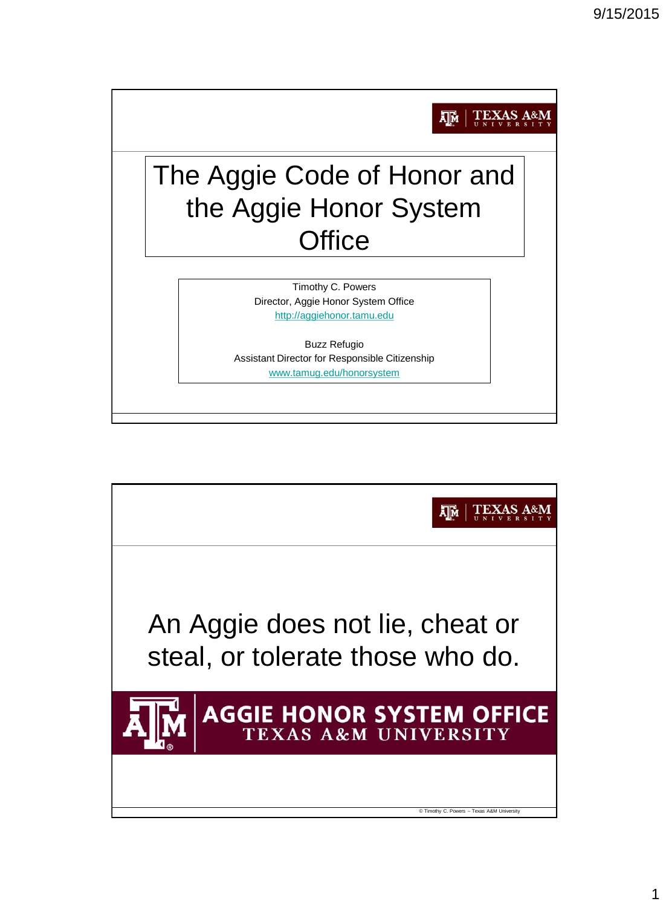

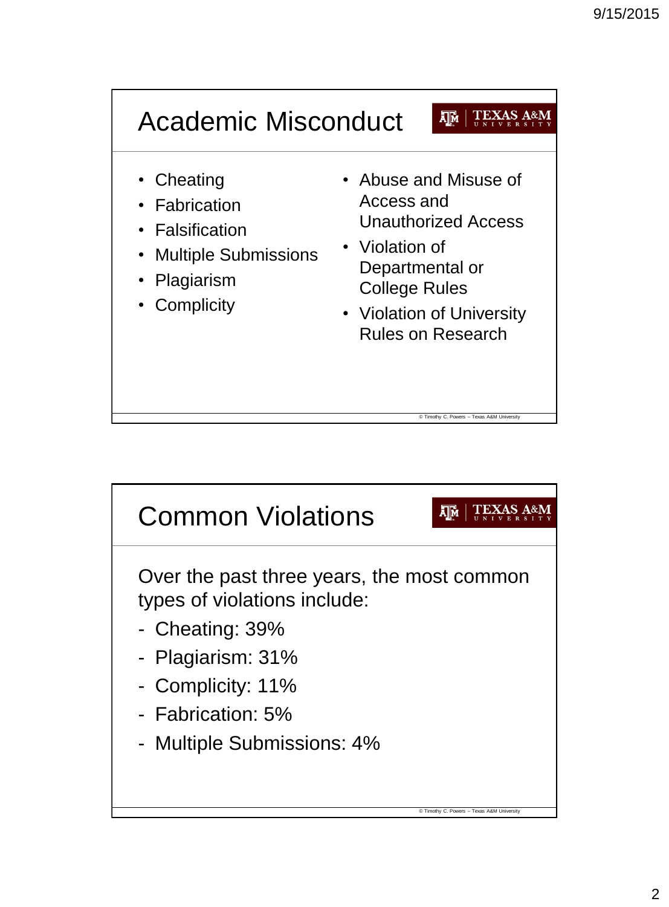

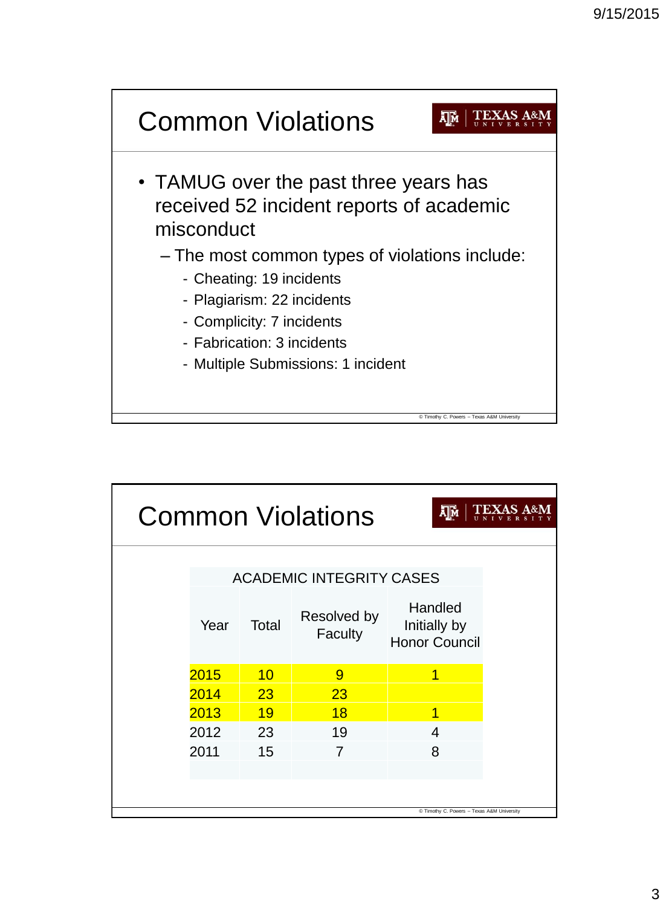

| Σ∏м<br><b>Common Violations</b>            |                                 |       |                        |                                                 |  |  |  |  |  |  |  |
|--------------------------------------------|---------------------------------|-------|------------------------|-------------------------------------------------|--|--|--|--|--|--|--|
|                                            | <b>ACADEMIC INTEGRITY CASES</b> |       |                        |                                                 |  |  |  |  |  |  |  |
|                                            | Year                            | Total | Resolved by<br>Faculty | Handled<br>Initially by<br><b>Honor Council</b> |  |  |  |  |  |  |  |
|                                            | 2015                            | 10    | 9                      | 1                                               |  |  |  |  |  |  |  |
|                                            | 2014                            | 23    | 23                     |                                                 |  |  |  |  |  |  |  |
|                                            | 2013                            | 19    | 18                     | 1                                               |  |  |  |  |  |  |  |
|                                            | 2012                            | 23    | 19                     | 4                                               |  |  |  |  |  |  |  |
|                                            | 2011                            | 15    | 7                      | 8                                               |  |  |  |  |  |  |  |
|                                            |                                 |       |                        |                                                 |  |  |  |  |  |  |  |
|                                            |                                 |       |                        |                                                 |  |  |  |  |  |  |  |
| C Timothy C. Powers - Texas A&M University |                                 |       |                        |                                                 |  |  |  |  |  |  |  |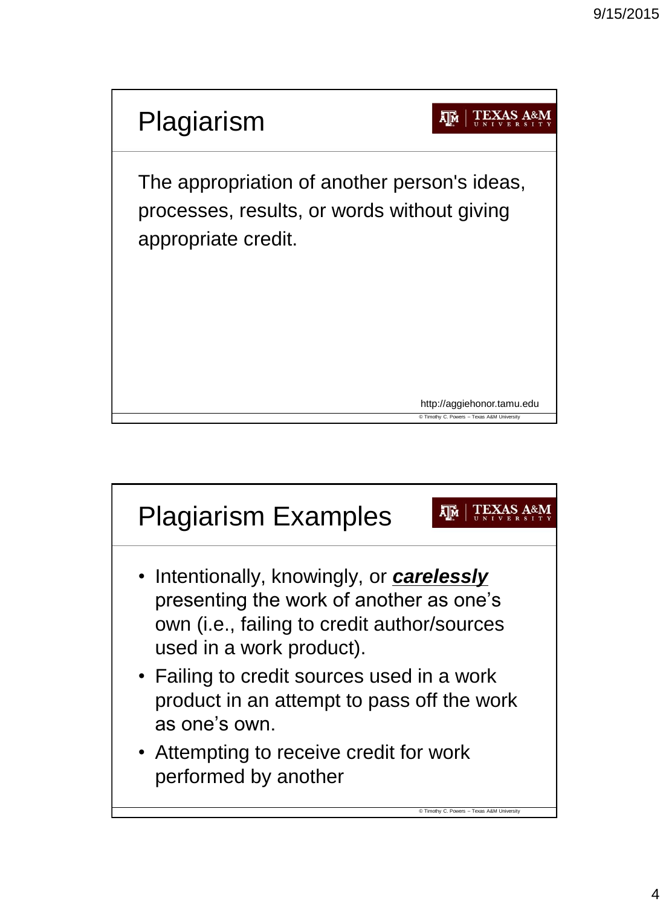

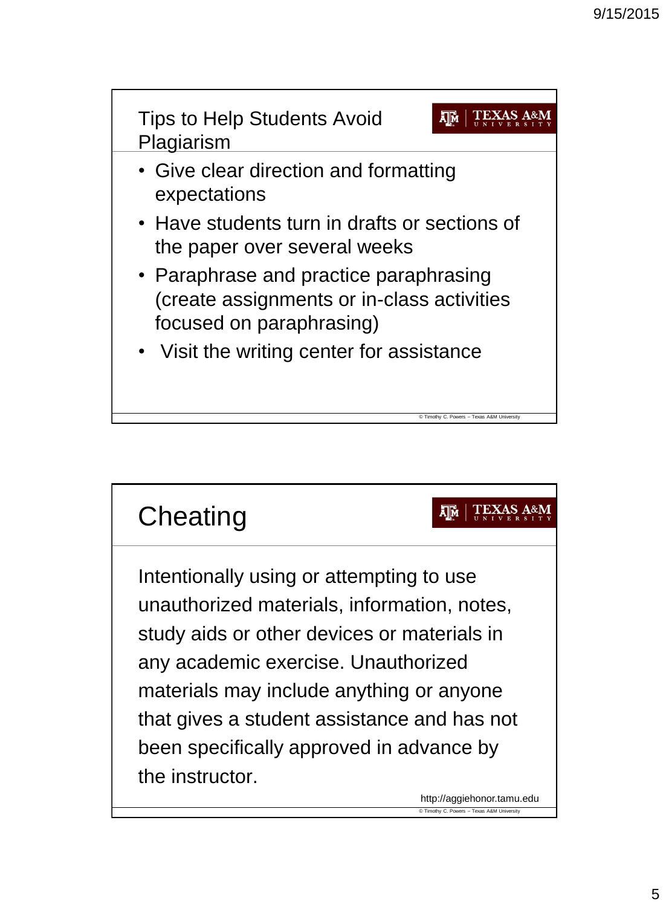



http://aggiehonor.tamu.edu © Timothy C. Powers – Texas A&M University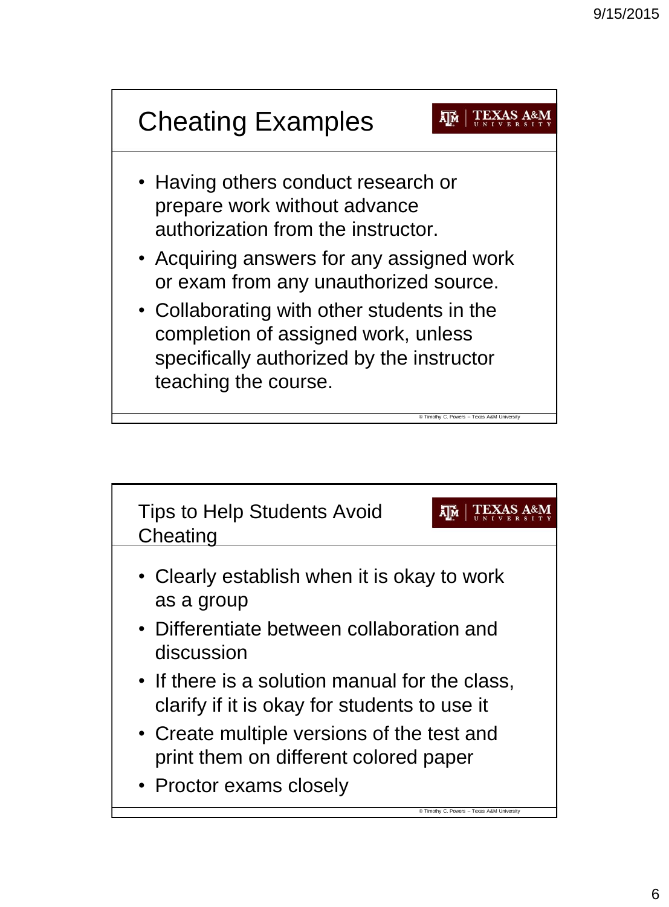

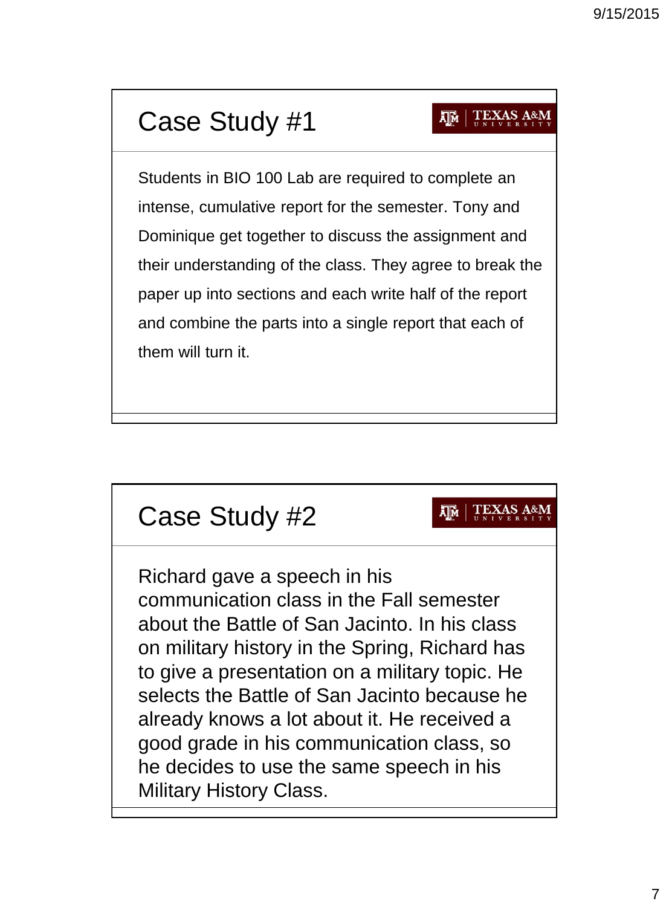## Case Study #1

## $\overline{\mathbf{A}}$   $\overline{\mathbf{M}}$   $\overline{\mathbf{A}}$   $\overline{\mathbf{B}}$   $\overline{\mathbf{B}}$   $\overline{\mathbf{B}}$   $\overline{\mathbf{A}}$   $\overline{\mathbf{B}}$   $\overline{\mathbf{A}}$   $\overline{\mathbf{B}}$   $\overline{\mathbf{B}}$   $\overline{\mathbf{B}}$   $\overline{\mathbf{B}}$   $\overline{\mathbf{B}}$   $\overline{\mathbf{B}}$   $\overline{\mathbf{B}}$   $\overline{\mathbf{B}}$   $\overline{\mathbf{B}}$   $\overline{\$

Students in BIO 100 Lab are required to complete an intense, cumulative report for the semester. Tony and Dominique get together to discuss the assignment and their understanding of the class. They agree to break the paper up into sections and each write half of the report and combine the parts into a single report that each of them will turn it.

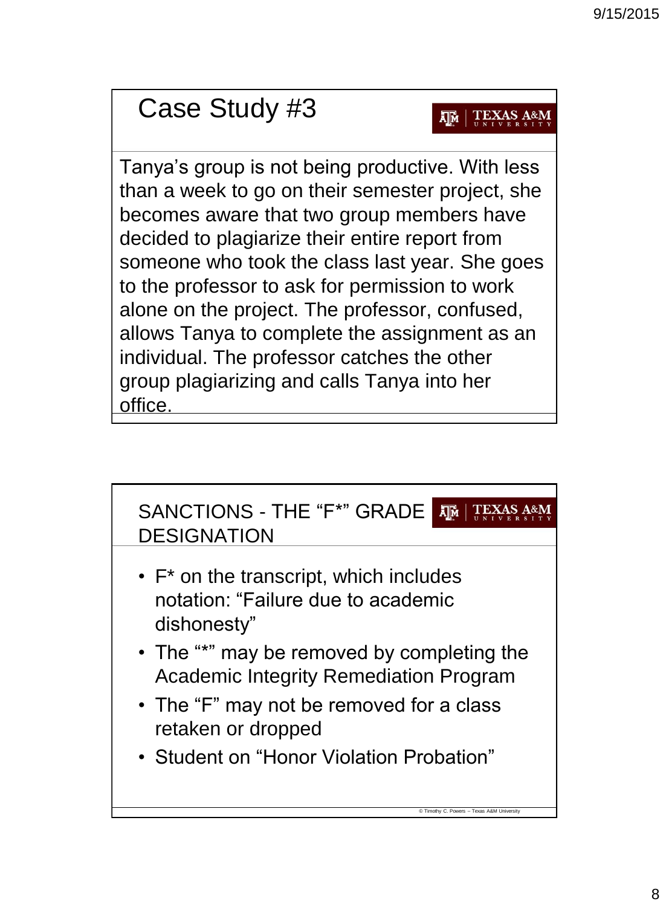## Case Study #3

## **AM** TEXAS A&M

Tanya's group is not being productive. With less than a week to go on their semester project, she becomes aware that two group members have decided to plagiarize their entire report from someone who took the class last year. She goes to the professor to ask for permission to work alone on the project. The professor, confused, allows Tanya to complete the assignment as an individual. The professor catches the other group plagiarizing and calls Tanya into her office.

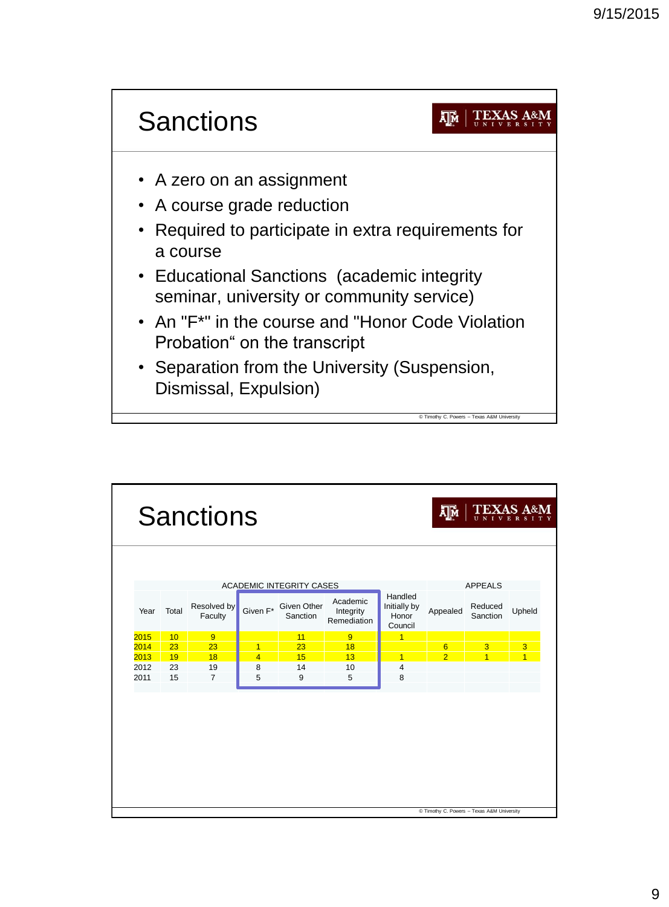

|      |                                 | <b>Sanctions</b>       | <b>TEXAS A&amp;M</b><br>Σ∏м<br>$\overline{U}$ N I V |                                              |                                      |                                             |                |                                            |                |  |
|------|---------------------------------|------------------------|-----------------------------------------------------|----------------------------------------------|--------------------------------------|---------------------------------------------|----------------|--------------------------------------------|----------------|--|
|      |                                 |                        |                                                     |                                              |                                      |                                             |                |                                            |                |  |
|      |                                 |                        |                                                     |                                              |                                      |                                             |                |                                            |                |  |
|      | <b>ACADEMIC INTEGRITY CASES</b> |                        |                                                     |                                              |                                      |                                             |                | <b>APPEALS</b>                             |                |  |
| Year | Total                           | Resolved by<br>Faculty |                                                     | Given F <sup>*</sup> Given Other<br>Sanction | Academic<br>Integrity<br>Remediation | Handled<br>Initially by<br>Honor<br>Council | Appealed       | Reduced<br>Sanction                        | Upheld         |  |
| 2015 | 10                              | 9                      |                                                     | 11                                           | $\overline{9}$                       | 1                                           |                |                                            |                |  |
| 2014 | 23                              | 23                     | $\overline{1}$                                      | 23                                           | 18                                   |                                             | 6              | 3                                          | 3              |  |
| 2013 | 19                              | 18                     | $\overline{4}$                                      | 15                                           | 13                                   | 1                                           | $\overline{2}$ | $\overline{1}$                             | $\overline{1}$ |  |
| 2012 | 23                              | 19                     | 8                                                   | 14                                           | 10                                   | $\overline{4}$                              |                |                                            |                |  |
| 2011 | 15                              | $\overline{7}$         | 5                                                   | 9                                            | 5                                    | 8                                           |                |                                            |                |  |
|      |                                 |                        |                                                     |                                              |                                      |                                             |                | C Timothy C. Powers - Texas A&M University |                |  |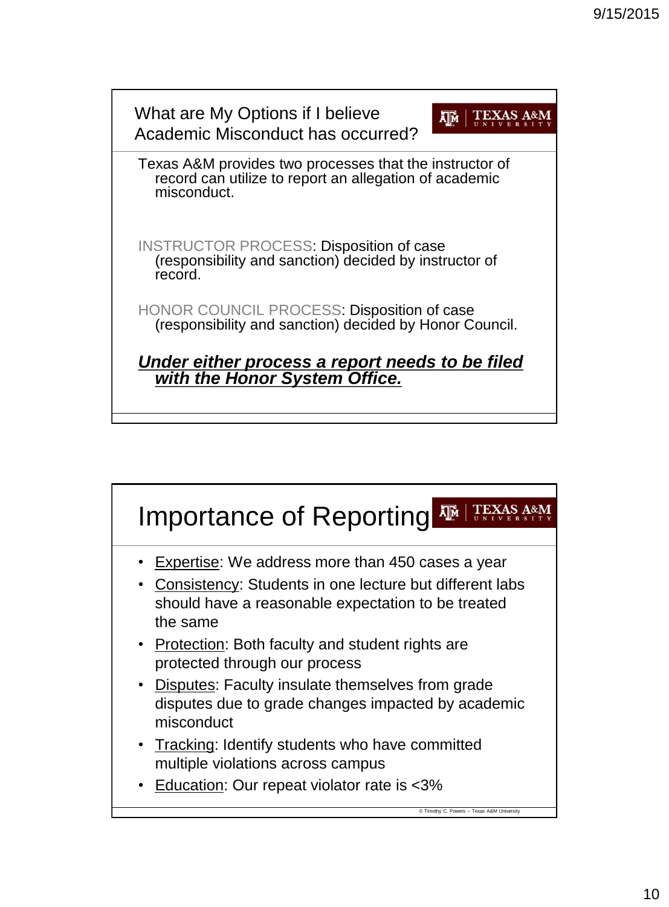

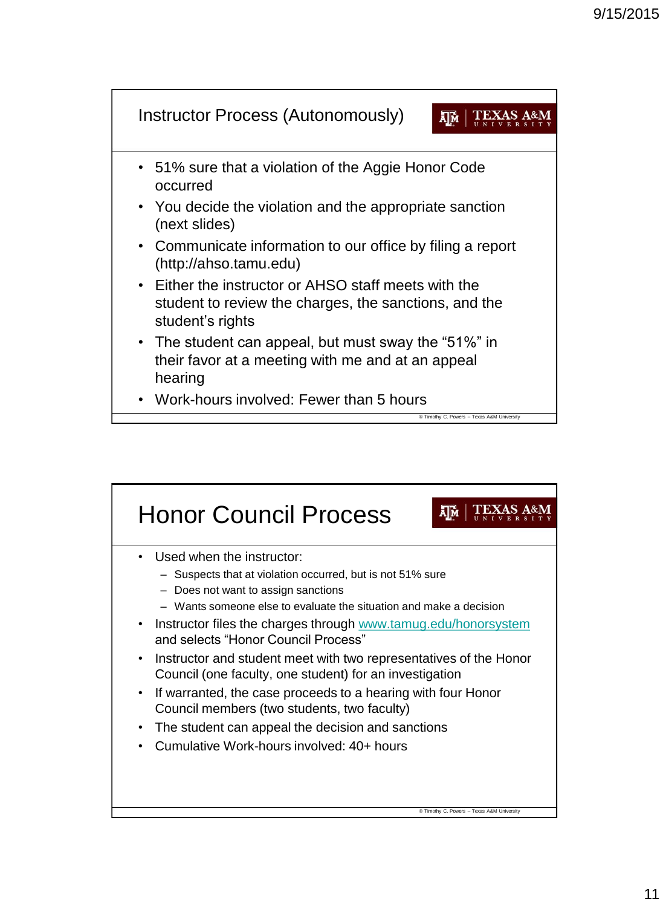